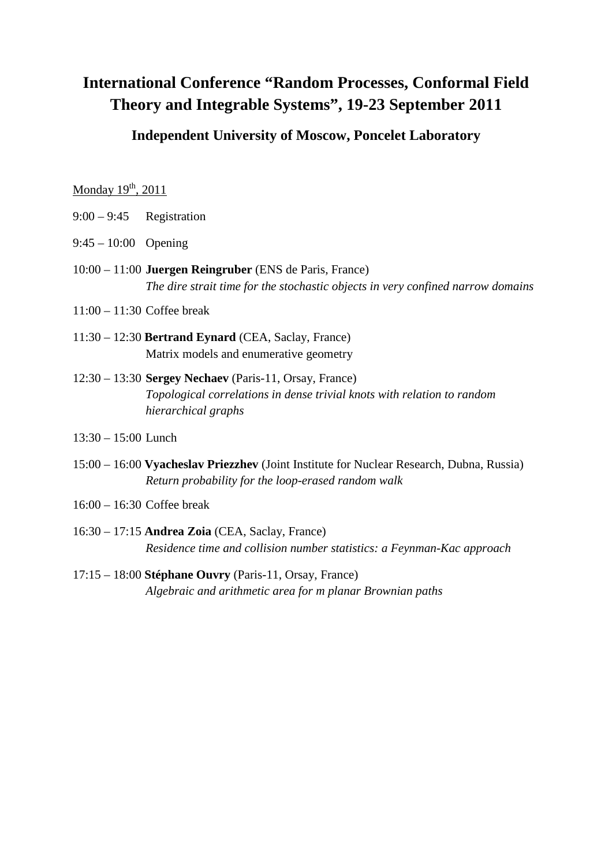# **International Conference "Random Processes, Conformal Field Theory and Integrable Systems", 19-23 September 2011**

## **Independent University of Moscow, Poncelet Laboratory**

Monday  $19<sup>th</sup>$ , 2011

- 9:00 9:45 Registration
- 9:45 10:00 Opening
- 10:00 11:00 **Juergen Reingruber** (ENS de Paris, France) *The dire strait time for the stochastic objects in very confined narrow domains*
- 11:00 11:30 Coffee break
- 11:30 12:30 **Bertrand Eynard** (CEA, Saclay, France) Matrix models and enumerative geometry
- 12:30 13:30 **Sergey Nechaev** (Paris-11, Orsay, France) *Topological correlations in dense trivial knots with relation to random hierarchical graphs*
- 13:30 15:00 Lunch
- 15:00 16:00 **Vyacheslav Priezzhev** (Joint Institute for Nuclear Research, Dubna, Russia) *Return probability for the loop-erased random walk*
- 16:00 16:30 Coffee break
- 16:30 17:15 **Andrea Zoia** (CEA, Saclay, France) *Residence time and collision number statistics: a Feynman-Kac approach*
- 17:15 18:00 **Stéphane Ouvry** (Paris-11, Orsay, France) *Algebraic and arithmetic area for m planar Brownian paths*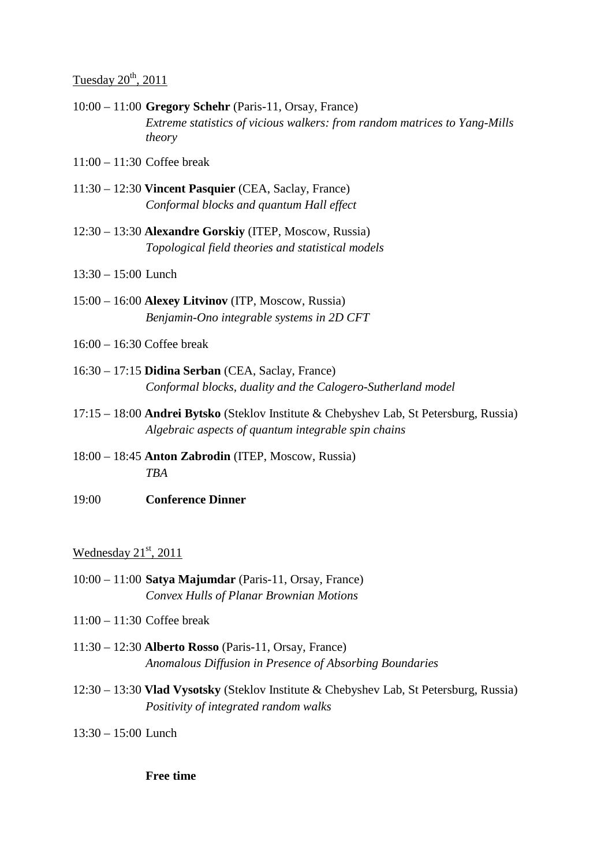# Tuesday  $20^{th}$ ,  $2011$

- 10:00 11:00 **Gregory Schehr** (Paris-11, Orsay, France) *Extreme statistics of vicious walkers: from random matrices to Yang-Mills theory*
- 11:00 11:30 Coffee break
- 11:30 12:30 **Vincent Pasquier** (CEA, Saclay, France) *Conformal blocks and quantum Hall effect*
- 12:30 13:30 **Alexandre Gorskiy** (ITEP, Moscow, Russia)  *Topological field theories and statistical models*
- 13:30 15:00 Lunch
- 15:00 16:00 **Alexey Litvinov** (ITP, Moscow, Russia) *Benjamin-Ono integrable systems in 2D CFT*
- 16:00 16:30 Coffee break
- 16:30 17:15 **Didina Serban** (CEA, Saclay, France) *Conformal blocks, duality and the Calogero-Sutherland model*
- 17:15 18:00 **Andrei Bytsko** (Steklov Institute & Chebyshev Lab, St Petersburg, Russia) *Algebraic aspects of quantum integrable spin chains*
- 18:00 18:45 **Anton Zabrodin** (ITEP, Moscow, Russia) *TBA*
- 19:00 **Conference Dinner**

#### Wednesday  $21<sup>st</sup>$ , 2011

- 10:00 11:00 **Satya Majumdar** (Paris-11, Orsay, France) *Convex Hulls of Planar Brownian Motions*
- 11:00 11:30 Coffee break
- 11:30 12:30 **Alberto Rosso** (Paris-11, Orsay, France)  *Anomalous Diffusion in Presence of Absorbing Boundaries*
- 12:30 13:30 **Vlad Vysotsky** (Steklov Institute & Chebyshev Lab, St Petersburg, Russia) *Positivity of integrated random walks*
- 13:30 15:00 Lunch

**Free time**